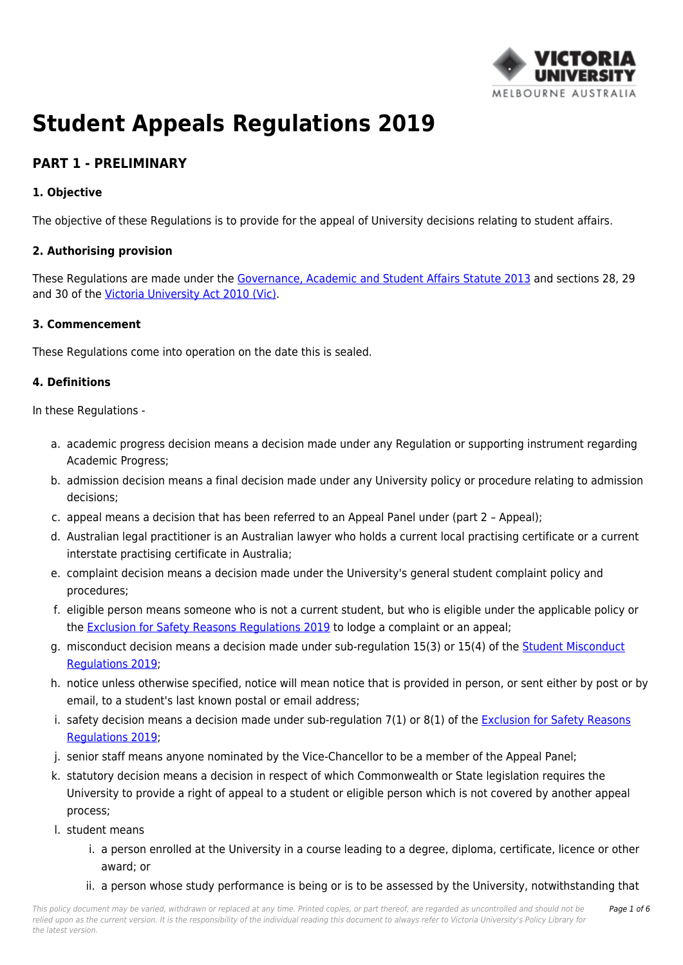

# **Student Appeals Regulations 2019**

# **PART 1 - PRELIMINARY**

### **1. Objective**

The objective of these Regulations is to provide for the appeal of University decisions relating to student affairs.

#### **2. Authorising provision**

These Regulations are made under the [Governance, Academic and Student Affairs Statute 2013](https://policy.vu.edu.au/document/view.php?id=243) and sections 28, 29 and 30 of the [Victoria University Act 2010 \(Vic\).](https://policy.vu.edu.au/directory/summary.php?legislation=4)

#### **3. Commencement**

These Regulations come into operation on the date this is sealed.

#### **4. Definitions**

In these Regulations -

- a. academic progress decision means a decision made under any Regulation or supporting instrument regarding Academic Progress;
- b. admission decision means a final decision made under any University policy or procedure relating to admission decisions;
- c. appeal means a decision that has been referred to an Appeal Panel under (part 2 Appeal);
- d. Australian legal practitioner is an Australian lawyer who holds a current local practising certificate or a current interstate practising certificate in Australia;
- e. complaint decision means a decision made under the University's general student complaint policy and procedures;
- f. eligible person means someone who is not a current student, but who is eligible under the applicable policy or the [Exclusion for Safety Reasons Regulations 2019](https://policy.vu.edu.au/document/view.php?id=151) to lodge a complaint or an appeal;
- g. misconduct decision means a decision made under sub-regulation 15(3) or 15(4) of the [Student Misconduct](https://policy.vu.edu.au/document/view.php?id=206) [Regulations 2019](https://policy.vu.edu.au/document/view.php?id=206);
- h. notice unless otherwise specified, notice will mean notice that is provided in person, or sent either by post or by email, to a student's last known postal or email address;
- i. safety decision means a decision made under sub-regulation 7(1) or 8(1) of the [Exclusion for Safety Reasons](https://policy.vu.edu.au/document/view.php?id=151) [Regulations 2019](https://policy.vu.edu.au/document/view.php?id=151);
- j. senior staff means anyone nominated by the Vice-Chancellor to be a member of the Appeal Panel;
- k. statutory decision means a decision in respect of which Commonwealth or State legislation requires the University to provide a right of appeal to a student or eligible person which is not covered by another appeal process;
- l. student means
	- i. a person enrolled at the University in a course leading to a degree, diploma, certificate, licence or other award; or
	- ii. a person whose study performance is being or is to be assessed by the University, notwithstanding that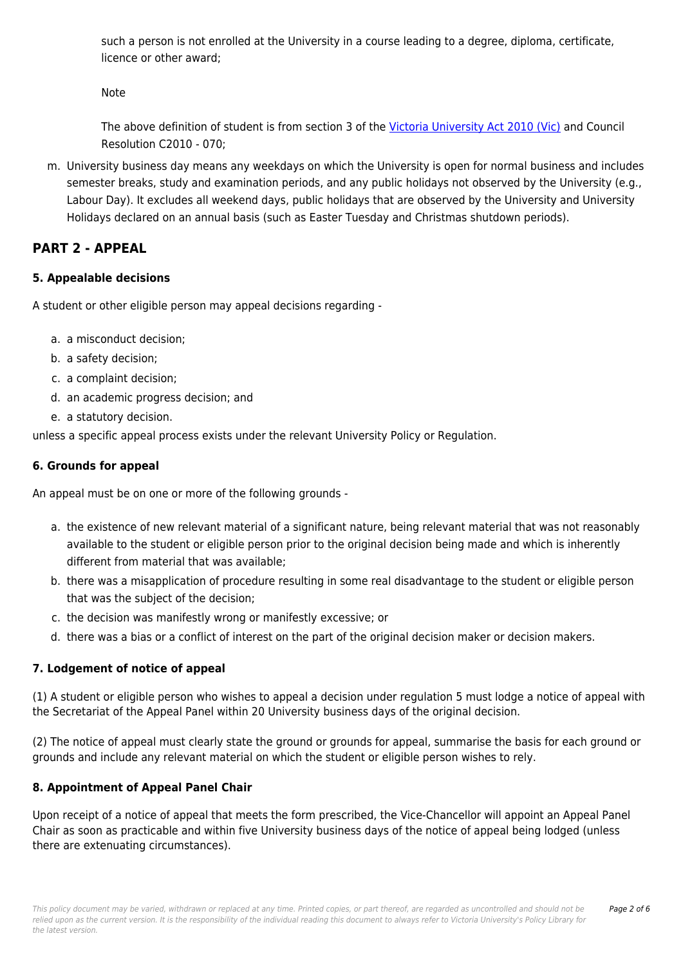such a person is not enrolled at the University in a course leading to a degree, diploma, certificate, licence or other award;

Note

The above definition of student is from section 3 of the [Victoria University Act 2010 \(Vic\)](https://policy.vu.edu.au/directory/summary.php?legislation=4) and Council Resolution C2010 - 070;

m. University business day means any weekdays on which the University is open for normal business and includes semester breaks, study and examination periods, and any public holidays not observed by the University (e.g., Labour Day). It excludes all weekend days, public holidays that are observed by the University and University Holidays declared on an annual basis (such as Easter Tuesday and Christmas shutdown periods).

# **PART 2 - APPEAL**

## **5. Appealable decisions**

A student or other eligible person may appeal decisions regarding -

- a. a misconduct decision;
- b. a safety decision;
- c. a complaint decision;
- d. an academic progress decision; and
- e. a statutory decision.

unless a specific appeal process exists under the relevant University Policy or Regulation.

# **6. Grounds for appeal**

An appeal must be on one or more of the following grounds -

- a. the existence of new relevant material of a significant nature, being relevant material that was not reasonably available to the student or eligible person prior to the original decision being made and which is inherently different from material that was available;
- b. there was a misapplication of procedure resulting in some real disadvantage to the student or eligible person that was the subject of the decision;
- c. the decision was manifestly wrong or manifestly excessive; or
- d. there was a bias or a conflict of interest on the part of the original decision maker or decision makers.

# **7. Lodgement of notice of appeal**

(1) A student or eligible person who wishes to appeal a decision under regulation 5 must lodge a notice of appeal with the Secretariat of the Appeal Panel within 20 University business days of the original decision.

(2) The notice of appeal must clearly state the ground or grounds for appeal, summarise the basis for each ground or grounds and include any relevant material on which the student or eligible person wishes to rely.

# **8. Appointment of Appeal Panel Chair**

Upon receipt of a notice of appeal that meets the form prescribed, the Vice-Chancellor will appoint an Appeal Panel Chair as soon as practicable and within five University business days of the notice of appeal being lodged (unless there are extenuating circumstances).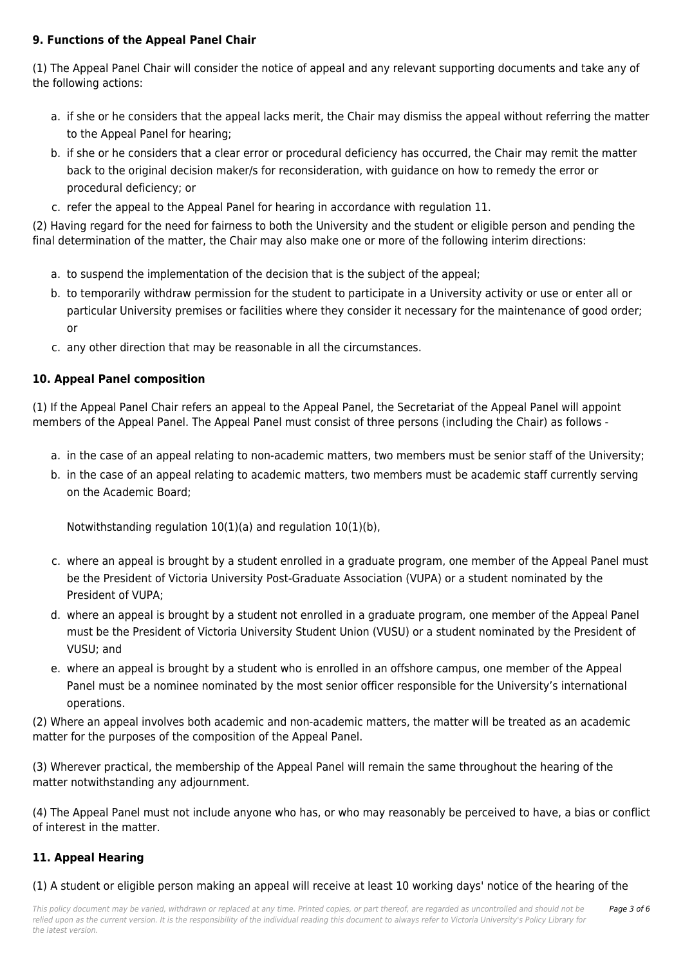## **9. Functions of the Appeal Panel Chair**

(1) The Appeal Panel Chair will consider the notice of appeal and any relevant supporting documents and take any of the following actions:

- a. if she or he considers that the appeal lacks merit, the Chair may dismiss the appeal without referring the matter to the Appeal Panel for hearing;
- b. if she or he considers that a clear error or procedural deficiency has occurred, the Chair may remit the matter back to the original decision maker/s for reconsideration, with guidance on how to remedy the error or procedural deficiency; or
- c. refer the appeal to the Appeal Panel for hearing in accordance with regulation 11.

(2) Having regard for the need for fairness to both the University and the student or eligible person and pending the final determination of the matter, the Chair may also make one or more of the following interim directions:

- a. to suspend the implementation of the decision that is the subject of the appeal;
- b. to temporarily withdraw permission for the student to participate in a University activity or use or enter all or particular University premises or facilities where they consider it necessary for the maintenance of good order; or
- c. any other direction that may be reasonable in all the circumstances.

### **10. Appeal Panel composition**

(1) If the Appeal Panel Chair refers an appeal to the Appeal Panel, the Secretariat of the Appeal Panel will appoint members of the Appeal Panel. The Appeal Panel must consist of three persons (including the Chair) as follows -

- a. in the case of an appeal relating to non-academic matters, two members must be senior staff of the University;
- b. in the case of an appeal relating to academic matters, two members must be academic staff currently serving on the Academic Board;

Notwithstanding regulation 10(1)(a) and regulation 10(1)(b),

- c. where an appeal is brought by a student enrolled in a graduate program, one member of the Appeal Panel must be the President of Victoria University Post-Graduate Association (VUPA) or a student nominated by the President of VUPA;
- d. where an appeal is brought by a student not enrolled in a graduate program, one member of the Appeal Panel must be the President of Victoria University Student Union (VUSU) or a student nominated by the President of VUSU; and
- e. where an appeal is brought by a student who is enrolled in an offshore campus, one member of the Appeal Panel must be a nominee nominated by the most senior officer responsible for the University's international operations.

(2) Where an appeal involves both academic and non-academic matters, the matter will be treated as an academic matter for the purposes of the composition of the Appeal Panel.

(3) Wherever practical, the membership of the Appeal Panel will remain the same throughout the hearing of the matter notwithstanding any adjournment.

(4) The Appeal Panel must not include anyone who has, or who may reasonably be perceived to have, a bias or conflict of interest in the matter.

## **11. Appeal Hearing**

(1) A student or eligible person making an appeal will receive at least 10 working days' notice of the hearing of the

Page 3 of 6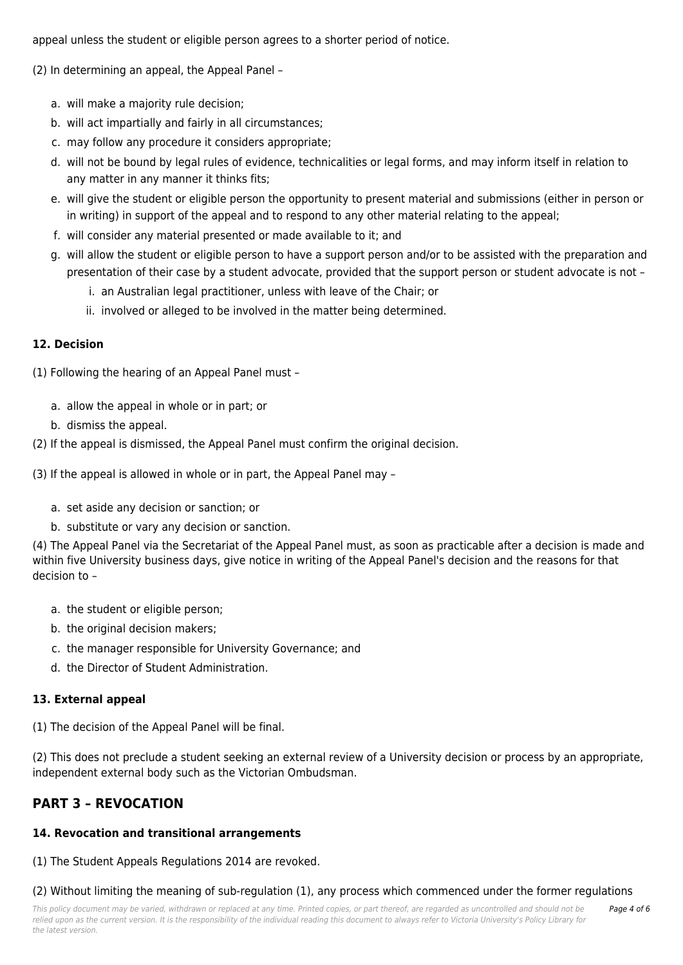appeal unless the student or eligible person agrees to a shorter period of notice.

(2) In determining an appeal, the Appeal Panel –

- a. will make a majority rule decision;
- b. will act impartially and fairly in all circumstances;
- c. may follow any procedure it considers appropriate;
- d. will not be bound by legal rules of evidence, technicalities or legal forms, and may inform itself in relation to any matter in any manner it thinks fits;
- e. will give the student or eligible person the opportunity to present material and submissions (either in person or in writing) in support of the appeal and to respond to any other material relating to the appeal;
- f. will consider any material presented or made available to it; and
- g. will allow the student or eligible person to have a support person and/or to be assisted with the preparation and presentation of their case by a student advocate, provided that the support person or student advocate is not –
	- i. an Australian legal practitioner, unless with leave of the Chair; or
	- ii. involved or alleged to be involved in the matter being determined.

#### **12. Decision**

(1) Following the hearing of an Appeal Panel must –

- a. allow the appeal in whole or in part; or
- b. dismiss the appeal.

(2) If the appeal is dismissed, the Appeal Panel must confirm the original decision.

(3) If the appeal is allowed in whole or in part, the Appeal Panel may –

- a. set aside any decision or sanction; or
- b. substitute or vary any decision or sanction.

(4) The Appeal Panel via the Secretariat of the Appeal Panel must, as soon as practicable after a decision is made and within five University business days, give notice in writing of the Appeal Panel's decision and the reasons for that decision to –

- a. the student or eligible person;
- b. the original decision makers:
- c. the manager responsible for University Governance; and
- d. the Director of Student Administration.

#### **13. External appeal**

(1) The decision of the Appeal Panel will be final.

(2) This does not preclude a student seeking an external review of a University decision or process by an appropriate, independent external body such as the Victorian Ombudsman.

# **PART 3 – REVOCATION**

#### **14. Revocation and transitional arrangements**

(1) The Student Appeals Regulations 2014 are revoked.

(2) Without limiting the meaning of sub-regulation (1), any process which commenced under the former regulations

Page 4 of 6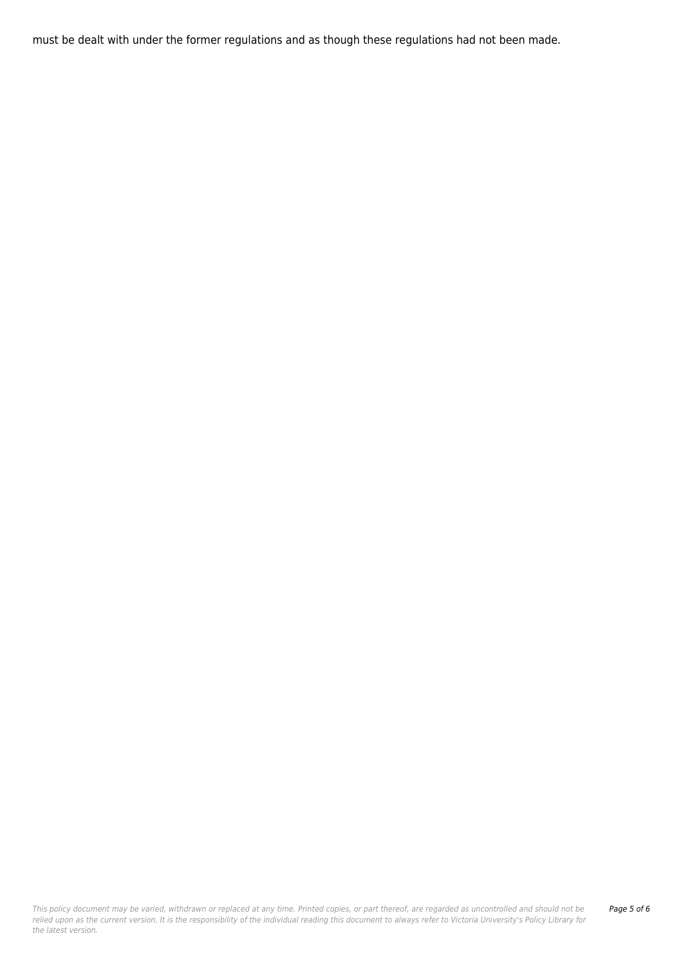must be dealt with under the former regulations and as though these regulations had not been made.